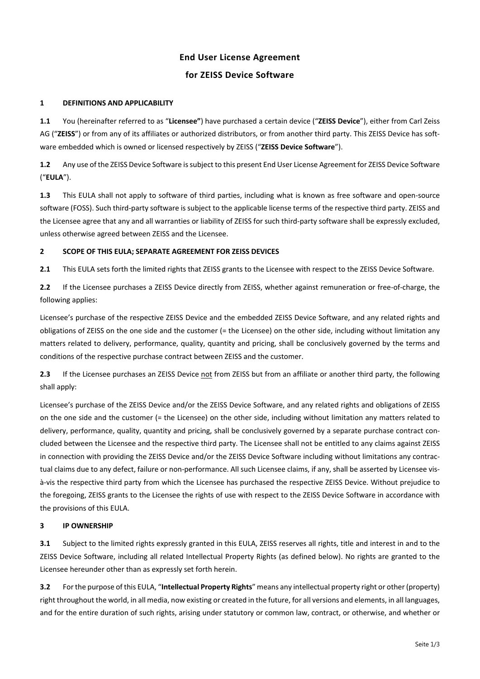# **End User License Agreement**

# **for ZEISS Device Software**

# **1 DEFINITIONS AND APPLICABILITY**

**1.1** You (hereinafter referred to as "**Licensee"**) have purchased a certain device ("**ZEISS Device**"), either from Carl Zeiss AG ("**ZEISS**") or from any of its affiliates or authorized distributors, or from another third party. This ZEISS Device has soft‐ ware embedded which is owned or licensed respectively by ZEISS ("**ZEISS Device Software**").

**1.2** Any use of the ZEISS Device Software issubject to this present End User License Agreement for ZEISS Device Software ("**EULA**").

**1.3** This EULA shall not apply to software of third parties, including what is known as free software and open-source software (FOSS). Such third‐party software is subject to the applicable license terms of the respective third party. ZEISS and the Licensee agree that any and all warranties or liability of ZEISS for such third-party software shall be expressly excluded, unless otherwise agreed between ZEISS and the Licensee.

# **2 SCOPE OF THIS EULA; SEPARATE AGREEMENT FOR ZEISS DEVICES**

**2.1** This EULA sets forth the limited rights that ZEISS grants to the Licensee with respect to the ZEISS Device Software.

2.2 If the Licensee purchases a ZEISS Device directly from ZEISS, whether against remuneration or free-of-charge, the following applies:

Licensee's purchase of the respective ZEISS Device and the embedded ZEISS Device Software, and any related rights and obligations of ZEISS on the one side and the customer (= the Licensee) on the other side, including without limitation any matters related to delivery, performance, quality, quantity and pricing, shall be conclusively governed by the terms and conditions of the respective purchase contract between ZEISS and the customer.

**2.3** If the Licensee purchases an ZEISS Device not from ZEISS but from an affiliate or another third party, the following shall apply:

Licensee's purchase of the ZEISS Device and/or the ZEISS Device Software, and any related rights and obligations of ZEISS on the one side and the customer (= the Licensee) on the other side, including without limitation any matters related to delivery, performance, quality, quantity and pricing, shall be conclusively governed by a separate purchase contract concluded between the Licensee and the respective third party. The Licensee shall not be entitled to any claims against ZEISS in connection with providing the ZEISS Device and/or the ZEISS Device Software including without limitations any contractual claims due to any defect, failure or non-performance. All such Licensee claims, if any, shall be asserted by Licensee visà‐vis the respective third party from which the Licensee has purchased the respective ZEISS Device. Without prejudice to the foregoing, ZEISS grants to the Licensee the rights of use with respect to the ZEISS Device Software in accordance with the provisions of this EULA.

# **3 IP OWNERSHIP**

**3.1** Subject to the limited rights expressly granted in this EULA, ZEISS reserves all rights, title and interest in and to the ZEISS Device Software, including all related Intellectual Property Rights (as defined below). No rights are granted to the Licensee hereunder other than as expressly set forth herein.

**3.2** For the purpose of this EULA, "**Intellectual Property Rights**" means any intellectual property right or other (property) right throughout the world, in all media, now existing or created in the future, for all versions and elements, in all languages, and for the entire duration of such rights, arising under statutory or common law, contract, or otherwise, and whether or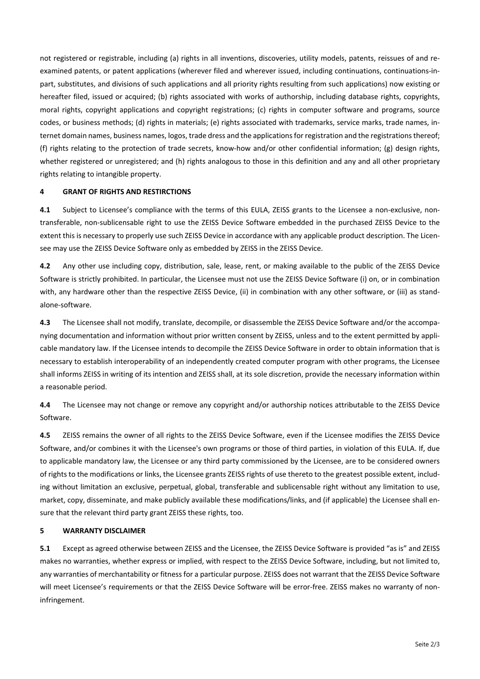not registered or registrable, including (a) rights in all inventions, discoveries, utility models, patents, reissues of and re‐ examined patents, or patent applications (wherever filed and wherever issued, including continuations, continuations-inpart, substitutes, and divisions of such applications and all priority rights resulting from such applications) now existing or hereafter filed, issued or acquired; (b) rights associated with works of authorship, including database rights, copyrights, moral rights, copyright applications and copyright registrations; (c) rights in computer software and programs, source codes, or business methods; (d) rights in materials; (e) rights associated with trademarks, service marks, trade names, in‐ ternet domain names, business names, logos, trade dress and the applications for registration and the registrations thereof; (f) rights relating to the protection of trade secrets, know‐how and/or other confidential information; (g) design rights, whether registered or unregistered; and (h) rights analogous to those in this definition and any and all other proprietary rights relating to intangible property.

## **4 GRANT OF RIGHTS AND RESTIRCTIONS**

**4.1** Subject to Licensee's compliance with the terms of this EULA, ZEISS grants to the Licensee a non-exclusive, nontransferable, non‐sublicensable right to use the ZEISS Device Software embedded in the purchased ZEISS Device to the extent this is necessary to properly use such ZEISS Device in accordance with any applicable product description. The Licensee may use the ZEISS Device Software only as embedded by ZEISS in the ZEISS Device.

**4.2** Any other use including copy, distribution, sale, lease, rent, or making available to the public of the ZEISS Device Software is strictly prohibited. In particular, the Licensee must not use the ZEISS Device Software (i) on, or in combination with, any hardware other than the respective ZEISS Device, (ii) in combination with any other software, or (iii) as standalone‐software.

**4.3** The Licensee shall not modify, translate, decompile, or disassemble the ZEISS Device Software and/or the accompa‐ nying documentation and information without prior written consent by ZEISS, unless and to the extent permitted by appli‐ cable mandatory law. If the Licensee intends to decompile the ZEISS Device Software in order to obtain information that is necessary to establish interoperability of an independently created computer program with other programs, the Licensee shall informs ZEISS in writing of its intention and ZEISS shall, at its sole discretion, provide the necessary information within a reasonable period.

**4.4** The Licensee may not change or remove any copyright and/or authorship notices attributable to the ZEISS Device Software.

**4.5** ZEISS remains the owner of all rights to the ZEISS Device Software, even if the Licensee modifies the ZEISS Device Software, and/or combines it with the Licensee's own programs or those of third parties, in violation of this EULA. If, due to applicable mandatory law, the Licensee or any third party commissioned by the Licensee, are to be considered owners of rights to the modifications or links, the Licensee grants ZEISS rights of use thereto to the greatest possible extent, includ‐ ing without limitation an exclusive, perpetual, global, transferable and sublicensable right without any limitation to use, market, copy, disseminate, and make publicly available these modifications/links, and (if applicable) the Licensee shall en‐ sure that the relevant third party grant ZEISS these rights, too.

#### **5 WARRANTY DISCLAIMER**

**5.1** Except as agreed otherwise between ZEISS and the Licensee, the ZEISS Device Software is provided "as is" and ZEISS makes no warranties, whether express or implied, with respect to the ZEISS Device Software, including, but not limited to, any warranties of merchantability or fitness for a particular purpose. ZEISS does not warrant that the ZEISS Device Software will meet Licensee's requirements or that the ZEISS Device Software will be error-free. ZEISS makes no warranty of noninfringement.